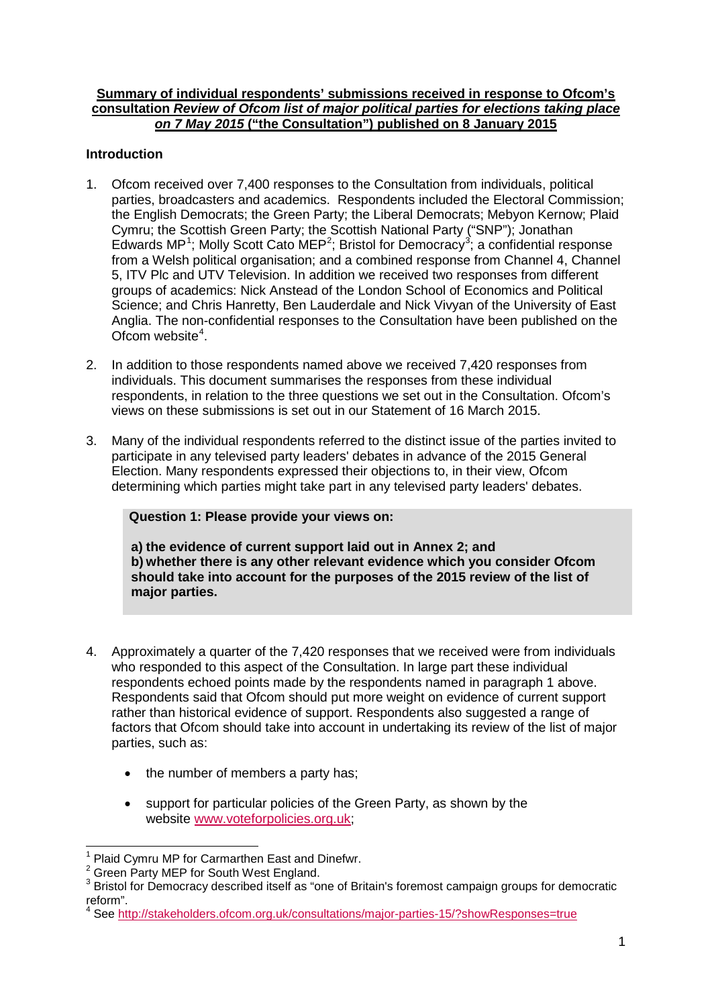## **Summary of individual respondents' submissions received in response to Ofcom's consultation** *Review of Ofcom list of major political parties for elections taking place on 7 May 2015* **("the Consultation") published on 8 January 2015**

## **Introduction**

- 1. Ofcom received over 7,400 responses to the Consultation from individuals, political parties, broadcasters and academics. Respondents included the Electoral Commission; the English Democrats; the Green Party; the Liberal Democrats; Mebyon Kernow; Plaid Cymru; the Scottish Green Party; the Scottish National Party ("SNP"); Jonathan Edwards MP<sup>[1](#page-0-0)</sup>; Molly Scott Cato MEP<sup>[2](#page-0-1)</sup>; Bristol for Democracy<sup>[3](#page-0-2)</sup>; a confidential response from a Welsh political organisation; and a combined response from Channel 4, Channel 5, ITV Plc and UTV Television. In addition we received two responses from different groups of academics: Nick Anstead of the London School of Economics and Political Science; and Chris Hanretty, Ben Lauderdale and Nick Vivyan of the University of East Anglia. The non-confidential responses to the Consultation have been published on the Ofcom website $4$ .
- 2. In addition to those respondents named above we received 7,420 responses from individuals. This document summarises the responses from these individual respondents, in relation to the three questions we set out in the Consultation. Ofcom's views on these submissions is set out in our Statement of 16 March 2015.
- 3. Many of the individual respondents referred to the distinct issue of the parties invited to participate in any televised party leaders' debates in advance of the 2015 General Election. Many respondents expressed their objections to, in their view, Ofcom determining which parties might take part in any televised party leaders' debates.

**Question 1: Please provide your views on:**

**a) the evidence of current support laid out in Annex 2; and b) whether there is any other relevant evidence which you consider Ofcom should take into account for the purposes of the 2015 review of the list of major parties.**

- 4. Approximately a quarter of the 7,420 responses that we received were from individuals who responded to this aspect of the Consultation. In large part these individual respondents echoed points made by the respondents named in paragraph 1 above. Respondents said that Ofcom should put more weight on evidence of current support rather than historical evidence of support. Respondents also suggested a range of factors that Ofcom should take into account in undertaking its review of the list of major parties, such as:
	- the number of members a party has;
	- support for particular policies of the Green Party, as shown by the website [www.voteforpolicies.org.uk;](http://www.voteforpolicies.org.uk/)

<sup>1</sup> Plaid Cymru MP for Carmarthen East and Dinefwr.  $\overline{a}$ 

<span id="page-0-1"></span><span id="page-0-0"></span><sup>&</sup>lt;sup>2</sup> Green Party MEP for South West England.

<span id="page-0-2"></span><sup>&</sup>lt;sup>3</sup> Bristol for Democracy described itself as "one of Britain's foremost campaign groups for democratic reform".

<span id="page-0-3"></span><sup>4</sup> See<http://stakeholders.ofcom.org.uk/consultations/major-parties-15/?showResponses=true>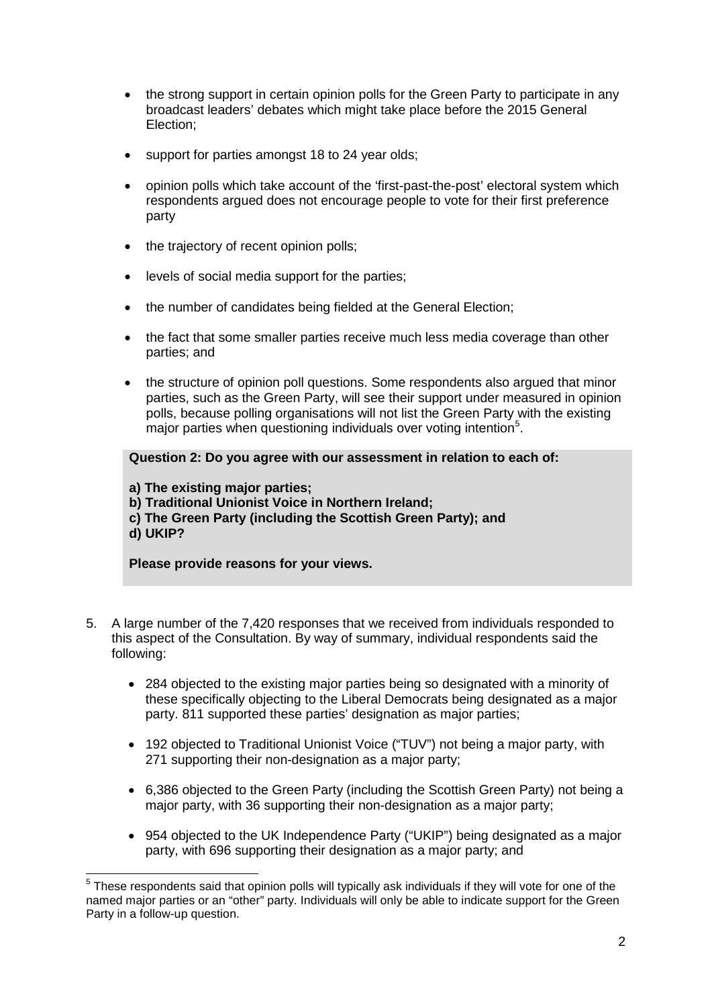- the strong support in certain opinion polls for the Green Party to participate in any broadcast leaders' debates which might take place before the 2015 General Election;
- support for parties amongst 18 to 24 year olds;
- opinion polls which take account of the 'first-past-the-post' electoral system which respondents argued does not encourage people to vote for their first preference party
- the trajectory of recent opinion polls;
- levels of social media support for the parties;
- the number of candidates being fielded at the General Election;
- the fact that some smaller parties receive much less media coverage than other parties; and
- the structure of opinion poll questions. Some respondents also argued that minor parties, such as the Green Party, will see their support under measured in opinion polls, because polling organisations will not list the Green Party with the existing major parties when questioning individuals over voting intention $5$ .

## **Question 2: Do you agree with our assessment in relation to each of:**

- **a) The existing major parties;**
- **b) Traditional Unionist Voice in Northern Ireland;**
- **c) The Green Party (including the Scottish Green Party); and d) UKIP?**

**Please provide reasons for your views.**

- 5. A large number of the 7,420 responses that we received from individuals responded to this aspect of the Consultation. By way of summary, individual respondents said the following:
	- 284 objected to the existing major parties being so designated with a minority of these specifically objecting to the Liberal Democrats being designated as a major party. 811 supported these parties' designation as major parties;
	- 192 objected to Traditional Unionist Voice ("TUV") not being a major party, with 271 supporting their non-designation as a major party;
	- 6,386 objected to the Green Party (including the Scottish Green Party) not being a major party, with 36 supporting their non-designation as a major party;
	- 954 objected to the UK Independence Party ("UKIP") being designated as a major party, with 696 supporting their designation as a major party; and

<span id="page-1-0"></span> $5$  These respondents said that opinion polls will typically ask individuals if they will vote for one of the named major parties or an "other" party. Individuals will only be able to indicate support for the Green Party in a follow-up question.  $\overline{a}$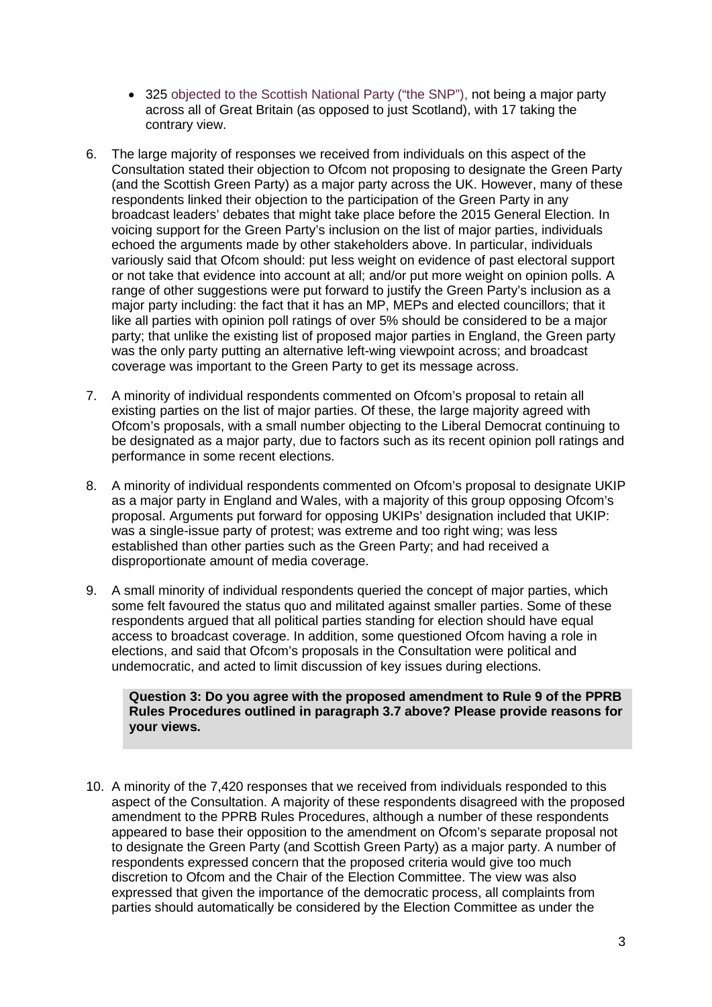- 325 objected to the Scottish National Party ("the SNP"), not being a major party across all of Great Britain (as opposed to just Scotland), with 17 taking the contrary view.
- 6. The large majority of responses we received from individuals on this aspect of the Consultation stated their objection to Ofcom not proposing to designate the Green Party (and the Scottish Green Party) as a major party across the UK. However, many of these respondents linked their objection to the participation of the Green Party in any broadcast leaders' debates that might take place before the 2015 General Election. In voicing support for the Green Party's inclusion on the list of major parties, individuals echoed the arguments made by other stakeholders above. In particular, individuals variously said that Ofcom should: put less weight on evidence of past electoral support or not take that evidence into account at all; and/or put more weight on opinion polls. A range of other suggestions were put forward to justify the Green Party's inclusion as a major party including: the fact that it has an MP, MEPs and elected councillors; that it like all parties with opinion poll ratings of over 5% should be considered to be a major party; that unlike the existing list of proposed major parties in England, the Green party was the only party putting an alternative left-wing viewpoint across; and broadcast coverage was important to the Green Party to get its message across.
- 7. A minority of individual respondents commented on Ofcom's proposal to retain all existing parties on the list of major parties. Of these, the large majority agreed with Ofcom's proposals, with a small number objecting to the Liberal Democrat continuing to be designated as a major party, due to factors such as its recent opinion poll ratings and performance in some recent elections.
- 8. A minority of individual respondents commented on Ofcom's proposal to designate UKIP as a major party in England and Wales, with a majority of this group opposing Ofcom's proposal. Arguments put forward for opposing UKIPs' designation included that UKIP: was a single-issue party of protest; was extreme and too right wing; was less established than other parties such as the Green Party; and had received a disproportionate amount of media coverage.
- 9. A small minority of individual respondents queried the concept of major parties, which some felt favoured the status quo and militated against smaller parties. Some of these respondents argued that all political parties standing for election should have equal access to broadcast coverage. In addition, some questioned Ofcom having a role in elections, and said that Ofcom's proposals in the Consultation were political and undemocratic, and acted to limit discussion of key issues during elections.

**Question 3: Do you agree with the proposed amendment to Rule 9 of the PPRB Rules Procedures outlined in paragraph 3.7 above? Please provide reasons for your views.**

10. A minority of the 7,420 responses that we received from individuals responded to this aspect of the Consultation. A majority of these respondents disagreed with the proposed amendment to the PPRB Rules Procedures, although a number of these respondents appeared to base their opposition to the amendment on Ofcom's separate proposal not to designate the Green Party (and Scottish Green Party) as a major party. A number of respondents expressed concern that the proposed criteria would give too much discretion to Ofcom and the Chair of the Election Committee. The view was also expressed that given the importance of the democratic process, all complaints from parties should automatically be considered by the Election Committee as under the